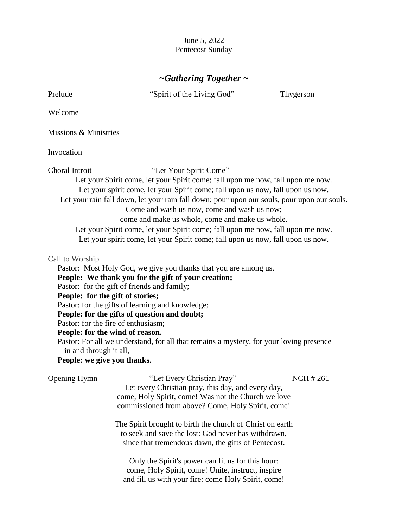June 5, 2022 Pentecost Sunday

# *~Gathering Together ~*

Prelude "Spirit of the Living God" Thygerson

Welcome

Missions & Ministries

Invocation

Choral Introit "Let Your Spirit Come"

Let your Spirit come, let your Spirit come; fall upon me now, fall upon me now. Let your spirit come, let your Spirit come; fall upon us now, fall upon us now. Let your rain fall down, let your rain fall down; pour upon our souls, pour upon our souls. Come and wash us now, come and wash us now;

come and make us whole, come and make us whole.

Let your Spirit come, let your Spirit come; fall upon me now, fall upon me now.

Let your spirit come, let your Spirit come; fall upon us now, fall upon us now.

#### Call to Worship

Pastor: Most Holy God, we give you thanks that you are among us.

**People: We thank you for the gift of your creation;** 

Pastor: for the gift of friends and family;

**People: for the gift of stories;**

Pastor: for the gifts of learning and knowledge;

**People: for the gifts of question and doubt;**

Pastor: for the fire of enthusiasm;

**People: for the wind of reason.**

Pastor: For all we understand, for all that remains a mystery, for your loving presence in and through it all,

### **People: we give you thanks.**

| <b>Opening Hymn</b> | "Let Every Christian Pray"                                | <b>NCH #261</b> |
|---------------------|-----------------------------------------------------------|-----------------|
|                     | Let every Christian pray, this day, and every day,        |                 |
|                     | come, Holy Spirit, come! Was not the Church we love       |                 |
|                     | commissioned from above? Come, Holy Spirit, come!         |                 |
|                     | The Spirit brought to birth the church of Christ on earth |                 |
|                     | to seek and save the lost: God never has withdrawn,       |                 |
|                     | since that tremendous dawn, the gifts of Pentecost.       |                 |
|                     | Only the Spirit's power can fit us for this hour:         |                 |
|                     | come, Holy Spirit, come! Unite, instruct, inspire         |                 |
|                     | and fill us with your fire: come Holy Spirit, come!       |                 |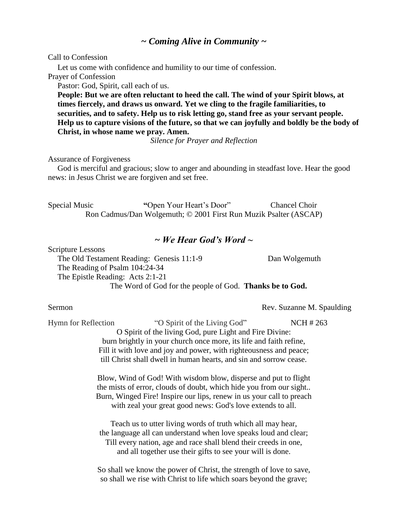## *~ Coming Alive in Community ~*

Call to Confession

Let us come with confidence and humility to our time of confession.

Prayer of Confession

Pastor: God, Spirit, call each of us.

**People: But we are often reluctant to heed the call. The wind of your Spirit blows, at times fiercely, and draws us onward. Yet we cling to the fragile familiarities, to securities, and to safety. Help us to risk letting go, stand free as your servant people. Help us to capture visions of the future, so that we can joyfully and boldly be the body of Christ, in whose name we pray. Amen.** 

*Silence for Prayer and Reflection*

Assurance of Forgiveness

God is merciful and gracious; slow to anger and abounding in steadfast love. Hear the good news: in Jesus Christ we are forgiven and set free.

Special Music **"**Open Your Heart's Door" Chancel Choir Ron Cadmus/Dan Wolgemuth; © 2001 First Run Muzik Psalter (ASCAP)

### *~ We Hear God's Word ~*

Scripture Lessons

The Old Testament Reading: Genesis 11:1-9 Dan Wolgemuth The Reading of Psalm 104:24-34 The Epistle Reading: Acts 2:1-21 The Word of God for the people of God. **Thanks be to God.**

Sermon Rev. Suzanne M. Spaulding

Hymn for Reflection "O Spirit of the Living God" **NCH** # 263 O Spirit of the living God, pure Light and Fire Divine: burn brightly in your church once more, its life and faith refine, Fill it with love and joy and power, with righteousness and peace; till Christ shall dwell in human hearts, and sin and sorrow cease.

> Blow, Wind of God! With wisdom blow, disperse and put to flight the mists of error, clouds of doubt, which hide you from our sight.. Burn, Winged Fire! Inspire our lips, renew in us your call to preach with zeal your great good news: God's love extends to all.

Teach us to utter living words of truth which all may hear, the language all can understand when love speaks loud and clear; Till every nation, age and race shall blend their creeds in one, and all together use their gifts to see your will is done.

So shall we know the power of Christ, the strength of love to save, so shall we rise with Christ to life which soars beyond the grave;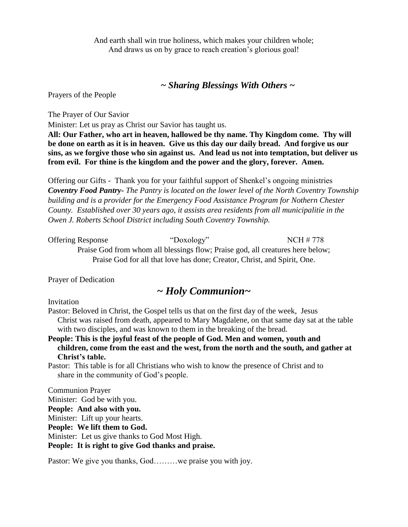And earth shall win true holiness, which makes your children whole; And draws us on by grace to reach creation's glorious goal!

### *~ Sharing Blessings With Others ~*

Prayers of the People

The Prayer of Our Savior

Minister: Let us pray as Christ our Savior has taught us.

**All: Our Father, who art in heaven, hallowed be thy name. Thy Kingdom come. Thy will be done on earth as it is in heaven. Give us this day our daily bread. And forgive us our sins, as we forgive those who sin against us. And lead us not into temptation, but deliver us from evil. For thine is the kingdom and the power and the glory, forever. Amen.**

Offering our Gifts - Thank you for your faithful support of Shenkel's ongoing ministries *Coventry Food Pantry- The Pantry is located on the lower level of the North Coventry Township building and is a provider for the Emergency Food Assistance Program for Nothern Chester County. Established over 30 years ago, it assists area residents from all municipalitie in the Owen J. Roberts School District including South Coventry Township.*

| <b>Offering Response</b> | "Doxology"                                                                     | NCH # 778 |
|--------------------------|--------------------------------------------------------------------------------|-----------|
|                          | Praise God from whom all blessings flow; Praise god, all creatures here below; |           |
|                          | Praise God for all that love has done; Creator, Christ, and Spirit, One.       |           |

Prayer of Dedication

# *~ Holy Communion~*

Invitation

Pastor: Beloved in Christ, the Gospel tells us that on the first day of the week, Jesus Christ was raised from death, appeared to Mary Magdalene, on that same day sat at the table with two disciples, and was known to them in the breaking of the bread.

**People: This is the joyful feast of the people of God. Men and women, youth and children, come from the east and the west, from the north and the south, and gather at Christ's table.** 

Pastor: This table is for all Christians who wish to know the presence of Christ and to share in the community of God's people.

Communion Prayer Minister: God be with you. **People: And also with you.** Minister: Lift up your hearts. **People: We lift them to God.** Minister: Let us give thanks to God Most High. **People: It is right to give God thanks and praise.**

Pastor: We give you thanks, God………we praise you with joy.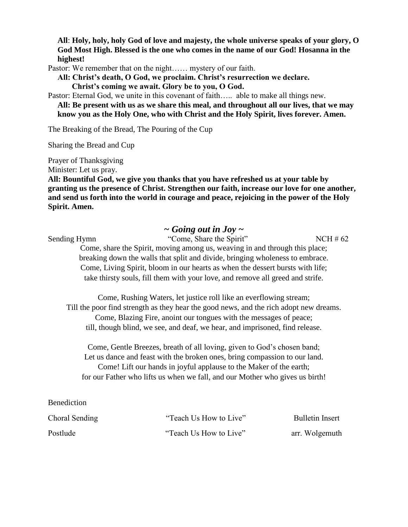**All**: **Holy, holy, holy God of love and majesty, the whole universe speaks of your glory, O God Most High. Blessed is the one who comes in the name of our God! Hosanna in the highest!**

Pastor: We remember that on the night…… mystery of our faith.

**All: Christ's death, O God, we proclaim. Christ's resurrection we declare. Christ's coming we await. Glory be to you, O God.**

Pastor: Eternal God, we unite in this covenant of faith….. able to make all things new. **All: Be present with us as we share this meal, and throughout all our lives, that we may** 

**know you as the Holy One, who with Christ and the Holy Spirit, lives forever. Amen.** 

The Breaking of the Bread, The Pouring of the Cup

Sharing the Bread and Cup

Prayer of Thanksgiving

Minister: Let us pray.

**All: Bountiful God, we give you thanks that you have refreshed us at your table by granting us the presence of Christ. Strengthen our faith, increase our love for one another, and send us forth into the world in courage and peace, rejoicing in the power of the Holy Spirit. Amen.** 

## *~ Going out in Joy ~*

Sending Hymn "Come, Share the Spirit" NCH # 62

Come, share the Spirit, moving among us, weaving in and through this place; breaking down the walls that split and divide, bringing wholeness to embrace. Come, Living Spirit, bloom in our hearts as when the dessert bursts with life; take thirsty souls, fill them with your love, and remove all greed and strife.

Come, Rushing Waters, let justice roll like an everflowing stream; Till the poor find strength as they hear the good news, and the rich adopt new dreams. Come, Blazing Fire, anoint our tongues with the messages of peace; till, though blind, we see, and deaf, we hear, and imprisoned, find release.

Come, Gentle Breezes, breath of all loving, given to God's chosen band; Let us dance and feast with the broken ones, bring compassion to our land. Come! Lift our hands in joyful applause to the Maker of the earth; for our Father who lifts us when we fall, and our Mother who gives us birth!

#### Benediction

| Choral Sending | "Teach Us How to Live" | <b>Bulletin Insert</b> |
|----------------|------------------------|------------------------|
| Postlude       | "Teach Us How to Live" | arr. Wolgemuth         |